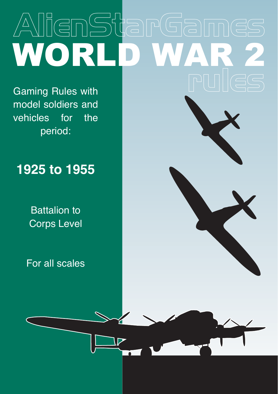# AlienStarGame WORLD W

Gaming Rules with model soldiers and vehicles for the period:

## **1925 to 1955**

Battalion to Corps Level

For all scales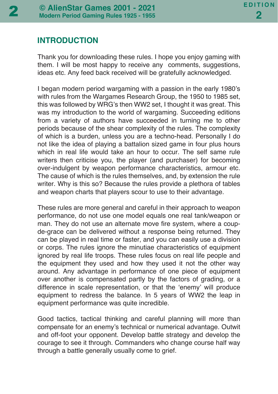## **INTRODUCTION**

Thank you for downloading these rules. I hope you enjoy gaming with them. I will be most happy to receive any comments, suggestions, ideas etc. Any feed back received will be gratefully acknowledged.

I began modern period wargaming with a passion in the early 1980's with rules from the Wargames Research Group, the 1950 to 1985 set, this was followed by WRG's then WW2 set, I thought it was great. This was my introduction to the world of wargaming. Succeeding editions from a variety of authors have succeeded in turning me to other periods because of the shear complexity of the rules. The complexity of which is a burden, unless you are a techno-head. Personally I do not like the idea of playing a battalion sized game in four plus hours which in real life would take an hour to occur. The self same rule writers then criticise you, the player (and purchaser) for becoming over-indulgent by weapon performance characteristics, armour etc. The cause of which is the rules themselves, and, by extension the rule writer. Why is this so? Because the rules provide a plethora of tables and weapon charts that players scour to use to their advantage.

These rules are more general and careful in their approach to weapon performance, do not use one model equals one real tank/weapon or man. They do not use an alternate move fire system, where a coupde-grace can be delivered without a response being returned. They can be played in real time or faster, and you can easily use a division or corps. The rules ignore the minutiae characteristics of equipment ignored by real life troops. These rules focus on real life people and the equipment they used and how they used it not the other way around. Any advantage in performance of one piece of equipment over another is compensated partly by the factors of grading, or a difference in scale representation, or that the 'enemy' will produce equipment to redress the balance. In 5 years of WW2 the leap in equipment performance was quite incredible.

Good tactics, tactical thinking and careful planning will more than compensate for an enemy's technical or numerical advantage. Outwit and off-foot your opponent. Develop battle strategy and develop the courage to see it through. Commanders who change course half way through a battle generally usually come to grief.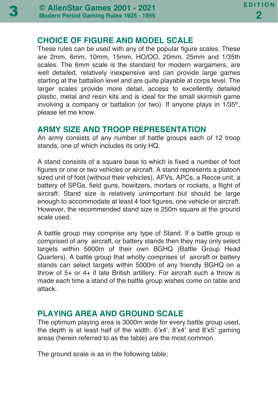#### **CHOICE OF FIGURE AND MODEL SCALE**

These rules can be used with any of the popular figure scales. These are 2mm, 6mm, 10mm, 15mm, HO/OO, 20mm, 25mm and 1/35th scales. The 6mm scale is the standard for modern wargamers, are well detailed, relatively inexpensive and can provide large games starting at the battalion level and are quite playable at corps level. The larger scales provide more detail, access to excellently detailed plastic, metal and resin kits and is ideal for the small skirmish game involving a company or battalion (or two). If anyone plays in 1/35<sup>th</sup>, please let me know.

#### **ARMY SIZE AND TROOP REPRESENTATION**

An army consists of any number of battle groups each of 12 troop stands, one of which includes its only HQ.

A stand consists of a square base to which is fixed a number of foot figures or one or two vehicles or aircraft. A stand represents a platoon sized unit of foot (without their vehicles), AFVs, APCs, a Recce unit, a battery of SPGs, field guns, howitzers, mortars or rockets, a flight of aircraft. Stand size is relatively unimportant but should be large enough to accommodate at least 4 foot figures, one vehicle or aircraft. However, the recommended stand size is 250m square at the ground scale used.

A battle group may comprise any type of Stand. If a battle group is comprised of any aircraft, or battery stands then they may only select targets within 5000m of their own BGHQ (Battle Group Head Quarters). A battle group that wholly comprises of aircraft or battery stands can select targets within 5000m of any friendly BGHQ on a throw of 5+ or 4+ if late British artillery. For aircraft such a throw is made each time a stand of the battle group wishes come on table and attack.

## **PLAYING AREA AND GROUND SCALE**

The optimum playing area is 3000m wide for every battle group used, the depth is at least half of the width. 6'x4', 8'x4' and 8'x5' gaming areas (herein referred to as the table) are the most common.

The ground scale is as in the following table;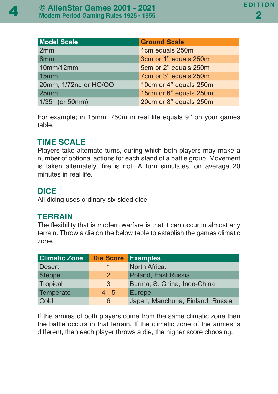| <b>Model Scale</b>    | <b>Ground Scale</b>    |
|-----------------------|------------------------|
| 2mm                   | 1cm equals 250m        |
| 6 <sub>mm</sub>       | 3cm or 1" equals 250m  |
| 10mm/12mm             | 5cm or 2" equals 250m  |
| 15 <sub>mm</sub>      | 7cm or 3" equals 250m  |
| 20mm, 1/72nd or HO/OO | 10cm or 4" equals 250m |
| 25mm                  | 15cm or 6" equals 250m |
| $1/35^{th}$ (or 50mm) | 20cm or 8" equals 250m |

For example; in 15mm, 750m in real life equals 9'' on your games table.

## **TIME SCALE**

Players take alternate turns, during which both players may make a number of optional actions for each stand of a battle group. Movement is taken alternately, fire is not. A turn simulates, on average 20 minutes in real life.

## **DICE**

All dicing uses ordinary six sided dice.

## **TERRAIN**

The flexibility that is modern warfare is that it can occur in almost any terrain. Throw a die on the below table to establish the games climatic zone.

| <b>Climatic Zone</b> | <b>Die Score Examples</b> |                                   |
|----------------------|---------------------------|-----------------------------------|
| <b>Desert</b>        |                           | North Africa.                     |
| <b>Steppe</b>        | $\overline{2}$            | Poland, East Russia               |
| Tropical             | 3                         | Burma, S. China, Indo-China       |
| Temperate            | $4 - 5$                   | Europe                            |
| Cold                 | 6                         | Japan, Manchuria, Finland, Russia |

If the armies of both players come from the same climatic zone then the battle occurs in that terrain. If the climatic zone of the armies is different, then each player throws a die, the higher score choosing.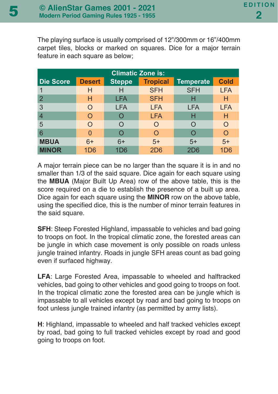The playing surface is usually comprised of 12"/300mm or 16"/400mm carpet tiles, blocks or marked on squares. Dice for a major terrain feature in each square as below;

| <b>Climatic Zone is:</b> |               |               |                 |                  |                 |  |  |  |
|--------------------------|---------------|---------------|-----------------|------------------|-----------------|--|--|--|
| <b>Die Score</b>         | <b>Desert</b> | <b>Steppe</b> | <b>Tropical</b> | <b>Temperate</b> | <b>Cold</b>     |  |  |  |
|                          | Н             | Н             | <b>SFH</b>      | <b>SFH</b>       | <b>LFA</b>      |  |  |  |
| $\overline{2}$           | н             | <b>LFA</b>    | <b>SFH</b>      | н                | н               |  |  |  |
| 3                        |               | <b>LFA</b>    | <b>LFA</b>      | LFA              | <b>LFA</b>      |  |  |  |
| $\overline{4}$           | ∩             |               | <b>LFA</b>      | н                | Н               |  |  |  |
| 5                        |               | $\cap$        | Ω               |                  | O               |  |  |  |
| 6                        | O             |               | O               |                  | റ               |  |  |  |
| <b>MBUA</b>              | $6+$          | $6+$          | $5+$            | $5+$             | $5+$            |  |  |  |
| <b>MINOR</b>             | 1D6           | 1D6           | 2D6             | 2D6              | 1D <sub>6</sub> |  |  |  |

A major terrain piece can be no larger than the square it is in and no smaller than 1/3 of the said square. Dice again for each square using the **MBUA** (Major Built Up Area) row of the above table, this is the score required on a die to establish the presence of a built up area. Dice again for each square using the **MINOR** row on the above table, using the specified dice, this is the number of minor terrain features in the said square.

**SFH:** Steep Forested Highland, impassable to vehicles and bad going to troops on foot. In the tropical climatic zone, the forested areas can be jungle in which case movement is only possible on roads unless jungle trained infantry. Roads in jungle SFH areas count as bad going even if surfaced highway.

**LFA**: Large Forested Area, impassable to wheeled and halftracked vehicles, bad going to other vehicles and good going to troops on foot. In the tropical climatic zone the forested area can be jungle which is impassable to all vehicles except by road and bad going to troops on foot unless jungle trained infantry (as permitted by army lists).

**H**: Highland, impassable to wheeled and half tracked vehicles except by road, bad going to full tracked vehicles except by road and good going to troops on foot.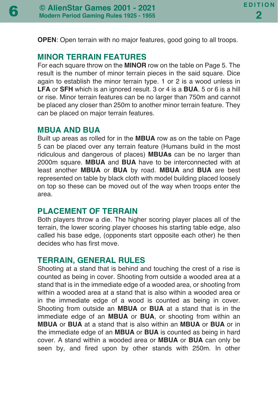**OPEN**: Open terrain with no major features, good going to all troops.

#### **MINOR TERRAIN FEATURES**

For each square throw on the **MINOR** row on the table on Page 5. The result is the number of minor terrain pieces in the said square. Dice again to establish the minor terrain type. 1 or 2 is a wood unless in **LFA** or **SFH** which is an ignored result. 3 or 4 is a **BUA**. 5 or 6 is a hill or rise. Minor terrain features can be no larger than 750m and cannot be placed any closer than 250m to another minor terrain feature. They can be placed on major terrain features.

#### **MBUA AND BUA**

Built up areas as rolled for in the **MBUA** row as on the table on Page 5 can be placed over any terrain feature (Humans build in the most ridiculous and dangerous of places) **MBUAs** can be no larger than 2000m square. **MBUA** and **BUA** have to be interconnected with at least another **MBUA** or **BUA** by road. **MBUA** and **BUA** are best represented on table by black cloth with model building placed loosely on top so these can be moved out of the way when troops enter the area.

## **PLACEMENT OF TERRAIN**

Both players throw a die. The higher scoring player places all of the terrain, the lower scoring player chooses his starting table edge, also called his base edge, (opponents start opposite each other) he then decides who has first move.

## **TERRAIN, GENERAL RULES**

Shooting at a stand that is behind and touching the crest of a rise is counted as being in cover. Shooting from outside a wooded area at a stand that is in the immediate edge of a wooded area, or shooting from within a wooded area at a stand that is also within a wooded area or in the immediate edge of a wood is counted as being in cover. Shooting from outside an **MBUA** or **BUA** at a stand that is in the immediate edge of an **MBUA** or **BUA**, or shooting from within an **MBUA** or **BUA** at a stand that is also within an **MBUA** or **BUA** or in the immediate edge of an **MBUA** or **BUA** is counted as being in hard cover. A stand within a wooded area or **MBUA** or **BUA** can only be seen by, and fired upon by other stands with 250m. In other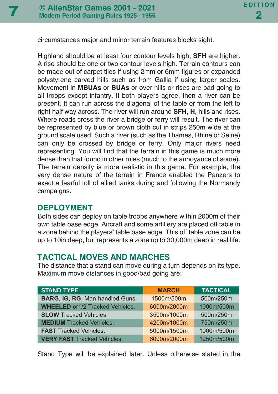circumstances major and minor terrain features blocks sight.

Highland should be at least four contour levels high, **SFH** are higher. A rise should be one or two contour levels high. Terrain contours can be made out of carpet tiles if using 2mm or 6mm figures or expanded polystyrene carved hills such as from Gallia if using larger scales. Movement in **MBUAs** or **BUAs** or over hills or rises are bad going to all troops except infantry. If both players agree, then a river can be present. It can run across the diagonal of the table or from the left to right half way across. The river will run around **SFH**, **H**, hills and rises. Where roads cross the river a bridge or ferry will result. The river can be represented by blue or brown cloth cut in strips 250m wide at the ground scale used. Such a river (such as the Thames, Rhine or Seine) can only be crossed by bridge or ferry. Only major rivers need representing. You will find that the terrain in this game is much more dense than that found in other rules (much to the annoyance of some). The terrain density is more realistic in this game. For example, the very dense nature of the terrain in France enabled the Panzers to exact a fearful toll of allied tanks during and following the Normandy campaigns.

#### **DEPLOYMENT**

Both sides can deploy on table troops anywhere within 2000m of their own table base edge. Aircraft and some artillery are placed off table in a zone behind the players' table base edge. This off table zone can be up to 10in deep, but represents a zone up to 30,000m deep in real life.

## **TACTICAL MOVES AND MARCHES**

The distance that a stand can move during a turn depends on its type. Maximum move distances in good/bad going are:

| <b>STAND TYPE</b>                      | <b>MARCH</b> | <b>TACTICAL</b> |
|----------------------------------------|--------------|-----------------|
| BARG, IG, RG, Man-handled Guns.        | 1500m/500m   | 500m/250m       |
| <b>WHEELED</b> or1/2 Tracked Vehicles. | 6000m/2000m  | 1000m/500m      |
| <b>SLOW Tracked Vehicles.</b>          | 3500m/1000m  | 500m/250m       |
| <b>MEDIUM</b> Tracked Vehicles.        | 4200m/1000m  | 750m/250m       |
| <b>FAST</b> Tracked Vehicles.          | 5000m/1500m  | 1000m/500m      |
| <b>VERY FAST Tracked Vehicles.</b>     | 6000m/2000m  | 1250m/500m      |

Stand Type will be explained later. Unless otherwise stated in the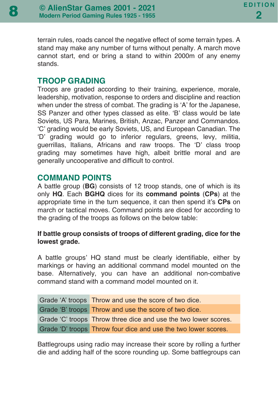terrain rules, roads cancel the negative effect of some terrain types. A stand may make any number of turns without penalty. A march move cannot start, end or bring a stand to within 2000m of any enemy stands.

## **TROOP GRADING**

Troops are graded according to their training, experience, morale, leadership, motivation, response to orders and discipline and reaction when under the stress of combat. The grading is 'A' for the Japanese, SS Panzer and other types classed as elite. 'B' class would be late Soviets, US Para, Marines, British, Anzac, Panzer and Commandos. 'C' grading would be early Soviets, US, and European Canadian. The 'D' grading would go to inferior regulars, greens, levy, militia, guerrillas, Italians, Africans and raw troops. The 'D' class troop grading may sometimes have high, albeit brittle moral and are generally uncooperative and difficult to control.

## **COMMAND POINTS**

A battle group (**BG**) consists of 12 troop stands, one of which is its only **HQ**. Each **BGHQ** dices for its **command points** (**CPs**) at the appropriate time in the turn sequence, it can then spend it's **CPs** on march or tactical moves. Command points are diced for according to the grading of the troops as follows on the below table:

#### **If battle group consists of troops of different grading, dice for the lowest grade.**

A battle groups' HQ stand must be clearly identifiable, either by markings or having an additional command model mounted on the base. Alternatively, you can have an additional non-combative command stand with a command model mounted on it.

| Grade 'A' troops Throw and use the score of two dice.           |
|-----------------------------------------------------------------|
| Grade 'B' troops Throw and use the score of two dice.           |
| Grade 'C' troops Throw three dice and use the two lower scores. |
| Grade 'D' troops Throw four dice and use the two lower scores.  |

Battlegroups using radio may increase their score by rolling a further die and adding half of the score rounding up. Some battlegroups can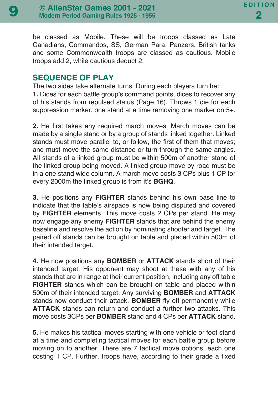be classed as Mobile. These will be troops classed as Late Canadians, Commandos, SS, German Para. Panzers, British tanks and some Commonwealth troops are classed as cautious. Mobile troops add 2, while cautious deduct 2.

#### **SEQUENCE OF PLAY**

The two sides take alternate turns. During each players turn he: **1.** Dices for each battle group's command points, dices to recover any of his stands from repulsed status (Page 16). Throws 1 die for each suppression marker, one stand at a time removing one marker on 5+.

**2.** He first takes any required march moves. March moves can be made by a single stand or by a group of stands linked together. Linked stands must move parallel to, or follow, the first of them that moves; and must move the same distance or turn through the same angles. All stands of a linked group must be within 500m of another stand of the linked group being moved. A linked group move by road must be in a one stand wide column. A march move costs 3 CPs plus 1 CP for every 2000m the linked group is from it's **BGHQ**.

**3.** He positions any **FIGHTER** stands behind his own base line to indicate that the table's airspace is now being disputed and covered by **FIGHTER** elements. This move costs 2 CPs per stand. He may now engage any enemy **FIGHTER** stands that are behind the enemy baseline and resolve the action by nominating shooter and target. The paired off stands can be brought on table and placed within 500m of their intended target.

**4.** He now positions any **BOMBER** or **ATTACK** stands short of their intended target. His opponent may shoot at these with any of his stands that are in range at their current position, including any off table **FIGHTER** stands which can be brought on table and placed within 500m of their intended target. Any surviving **BOMBER** and **ATTACK** stands now conduct their attack. **BOMBER** fly off permanently while **ATTACK** stands can return and conduct a further two attacks. This move costs 3CPs per **BOMBER** stand and 4 CPs per **ATTACK** stand.

**5.** He makes his tactical moves starting with one vehicle or foot stand at a time and completing tactical moves for each battle group before moving on to another. There are 7 tactical move options, each one costing 1 CP. Further, troops have, according to their grade a fixed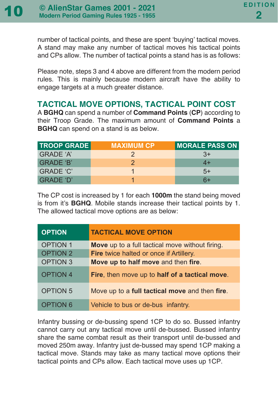number of tactical points, and these are spent 'buying' tactical moves. A stand may make any number of tactical moves his tactical points and CPs allow. The number of tactical points a stand has is as follows:

Please note, steps 3 and 4 above are different from the modern period rules. This is mainly because modern aircraft have the ability to engage targets at a much greater distance.

## **TACTICAL MOVE OPTIONS, TACTICAL POINT COST**

A **BGHQ** can spend a number of **Command Points** (**CP**) according to their Troop Grade. The maximum amount of **Command Points** a **BGHQ** can spend on a stand is as below.

| <b>TROOP GRADE</b> | <b>MAXIMUM CP</b> | <b>MORALE PASS ON</b> |
|--------------------|-------------------|-----------------------|
| GRADE 'A'          |                   | $3+$                  |
| GRADE 'B'          |                   | 4+                    |
| GRADE 'C'          |                   | $5+$                  |
| GRADE 'D'          |                   | 6+                    |

The CP cost is increased by 1 for each **1000m** the stand being moved is from it's **BGHQ**. Mobile stands increase their tactical points by 1. The allowed tactical move options are as below:

| <b>OPTION</b>   | <b>TACTICAL MOVE OPTION</b>                     |
|-----------------|-------------------------------------------------|
| <b>OPTION 1</b> | Move up to a full tactical move without firing. |
| <b>OPTION 2</b> | <b>Fire</b> twice halted or once if Artillery.  |
| <b>OPTION 3</b> | Move up to half move and then fire.             |
| <b>OPTION 4</b> | Fire, then move up to half of a tactical move.  |
| <b>OPTION 5</b> | Move up to a full tactical move and then fire.  |
| <b>OPTION 6</b> | Vehicle to bus or de-bus infantry.              |

Infantry bussing or de-bussing spend 1CP to do so. Bussed infantry cannot carry out any tactical move until de-bussed. Bussed infantry share the same combat result as their transport until de-bussed and moved 250m away. Infantry just de-bussed may spend 1CP making a tactical move. Stands may take as many tactical move options their tactical points and CPs allow. Each tactical move uses up 1CP.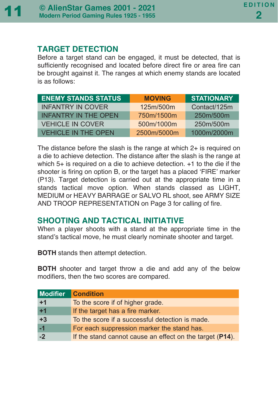#### **TARGET DETECTION**

Before a target stand can be engaged, it must be detected, that is sufficiently recognised and located before direct fire or area fire can be brought against it. The ranges at which enemy stands are located is as follows:

| <b>ENEMY STANDS STATUS</b>  | <b>MOVING</b> | <b>STATIONARY</b> |
|-----------------------------|---------------|-------------------|
| <b>INFANTRY IN COVER</b>    | 125m/500m     | Contact/125m      |
| <b>INFANTRY IN THE OPEN</b> | 750m/1500m    | 250m/500m         |
| <b>VEHICLE IN COVER</b>     | 500m/1000m    | 250m/500m         |
| <b>VEHICLE IN THE OPEN</b>  | 2500m/5000m   | 1000m/2000m       |

The distance before the slash is the range at which 2+ is required on a die to achieve detection. The distance after the slash is the range at which 5+ is required on a die to achieve detection. +1 to the die if the shooter is firing on option B, or the target has a placed 'FIRE' marker (P13). Target detection is carried out at the appropriate time in a stands tactical move option. When stands classed as LIGHT, MEDIUM or HEAVY BARRAGE or SALVO RL shoot, see ARMY SIZE AND TROOP REPRESENTATION on Page 3 for calling of fire.

## **SHOOTING AND TACTICAL INITIATIVE**

When a player shoots with a stand at the appropriate time in the stand's tactical move, he must clearly nominate shooter and target.

**BOTH** stands then attempt detection.

**BOTH** shooter and target throw a die and add any of the below modifiers, then the two scores are compared.

| <b>Modifier</b> | <b>Condition</b>                                         |
|-----------------|----------------------------------------------------------|
| $+1$            | To the score if of higher grade.                         |
| $+1$            | If the target has a fire marker.                         |
| $+3$            | To the score if a successful detection is made.          |
| $-1$            | For each suppression marker the stand has.               |
| $-2$            | If the stand cannot cause an effect on the target (P14). |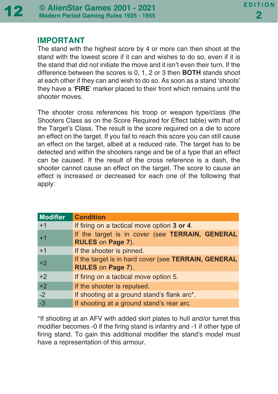

## **IMPORTANT**

The stand with the highest score by 4 or more can then shoot at the stand with the lowest score if it can and wishes to do so, even if it is the stand that did not initiate the move and it isn't even their turn. If the difference between the scores is 0, 1, 2 or 3 then **BOTH** stands shoot at each other if they can and wish to do so. As soon as a stand 'shoots' they have a '**FIRE**' marker placed to their front which remains until the shooter moves.

The shooter cross references his troop or weapon type/class (the Shooters Class as on the Score Required for Effect table) with that of the Target's Class. The result is the score required on a die to score an effect on the target. If you fail to reach this score you can still cause an effect on the target, albeit at a reduced rate. The target has to be detected and within the shooters range and be of a type that an effect can be caused. If the result of the cross reference is a dash, the shooter cannot cause an effect on the target. The score to cause an effect is increased or decreased for each one of the following that apply:

| <b>Modifier</b> | <b>Condition</b>                                                          |
|-----------------|---------------------------------------------------------------------------|
| $+1$            | If firing on a tactical move option 3 or 4.                               |
| $+1$            | If the target is in cover (see TERRAIN, GENERAL<br>RULES on Page 7).      |
| $+1$            | If the shooter is pinned.                                                 |
| $+2$            | If the target is in hard cover (see TERRAIN, GENERAL<br>RULES on Page 7). |
| $+2$            | If firing on a tactical move option 5.                                    |
| $+2$            | If the shooter is repulsed.                                               |
| $-2$            | If shooting at a ground stand's flank arc*.                               |
| $-3$            | If shooting at a ground stand's rear arc.                                 |

\*If shooting at an AFV with added skirt plates to hull and/or turret this modifier becomes -0 if the firing stand is infantry and -1 if other type of firing stand. To gain this additional modifier the stand's model must have a representation of this armour.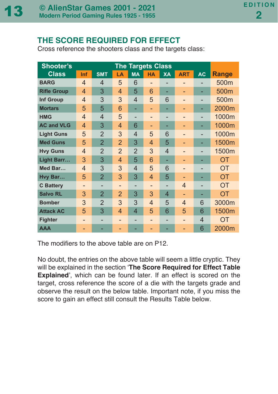## **THE SCORE REQUIRED FOR EFFECT**

Cross reference the shooters class and the targets class:

| <b>Shooter's</b>   | <b>The Targets Class</b> |                |                |                |           |                |                |           |              |
|--------------------|--------------------------|----------------|----------------|----------------|-----------|----------------|----------------|-----------|--------------|
| <b>Class</b>       | Inf                      | <b>SMT</b>     | LA             | <b>MA</b>      | <b>HA</b> | <b>XA</b>      | <b>ART</b>     | <b>AC</b> | <b>Range</b> |
| <b>BARG</b>        | $\overline{4}$           | $\overline{4}$ | 5              | 6              | -         |                | -              |           | 500m         |
| <b>Rifle Group</b> | 4                        | 3              | 4              | 5              | 6         |                |                |           | 500m         |
| Inf Group          | $\overline{4}$           | 3              | 3              | 4              | 5         | 6              |                |           | 500m         |
| <b>Mortars</b>     | 5                        | 5              | 6              |                | -         |                |                | -         | 2000m        |
| <b>HMG</b>         | $\overline{4}$           | $\overline{4}$ | 5              |                | -         | -              | -              |           | 1000m        |
| <b>AC and VLG</b>  | $\overline{4}$           | 3              | 4              | 6              |           |                |                |           | 1000m        |
| <b>Light Guns</b>  | 5                        | $\overline{2}$ | 3              | 4              | 5         | 6              |                |           | 1000m        |
| <b>Med Guns</b>    | 5                        | $\overline{2}$ | $\overline{2}$ | 3              | 4         | 5              |                |           | 1500m        |
| <b>Hvy Guns</b>    | $\overline{4}$           | $\overline{2}$ | $\overline{2}$ | $\overline{2}$ | 3         | $\overline{4}$ |                |           | 1500m        |
| Light Barr         | 3                        | 3              | 4              | 5              | 6         |                |                |           | OT           |
| Med Bar            | $\overline{4}$           | 3              | 3              | 4              | 5         | 6              | -              |           | <b>OT</b>    |
| Hvy Bar            | 5                        | $\overline{2}$ | 3              | 3              | 4         | 5              |                |           | OT           |
| <b>C</b> Battery   | -                        |                | -              |                | -         |                | $\overline{4}$ |           | <b>OT</b>    |
| <b>Salvo RL</b>    | 3                        | $\overline{2}$ | $\overline{2}$ | 3              | 3         | 4              |                |           | OT           |
| <b>Bomber</b>      | 3                        | $\overline{2}$ | 3              | 3              | 4         | 5              | 4              | 6         | 3000m        |
| <b>Attack AC</b>   | 5                        | 3              | 4              | 4              | 5         | 6              | 5              | 6         | 1500m        |
| <b>Fighter</b>     | -                        |                | -              |                | -         | -              |                | 4         | OT           |
| <b>AAA</b>         |                          |                |                |                |           |                |                | 6         | 2000m        |

The modifiers to the above table are on P12.

No doubt, the entries on the above table will seem a little cryptic. They will be explained in the section '**The Score Required for Effect Table Explained**', which can be found later. If an effect is scored on the target, cross reference the score of a die with the targets grade and observe the result on the below table. Important note, if you miss the score to gain an effect still consult the Results Table below.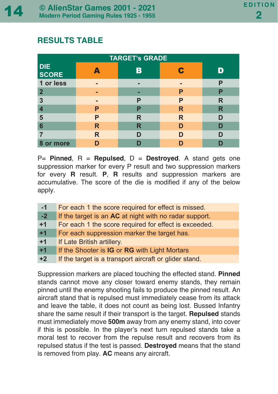## **RESULTS TABLE**

| <b>TARGET's GRADE</b>      |   |   |   |   |  |  |  |
|----------------------------|---|---|---|---|--|--|--|
| <b>DIE</b><br><b>SCORE</b> |   |   |   |   |  |  |  |
| 1 or less                  | ▬ |   |   | P |  |  |  |
| $\mathbf{2}$               |   |   | Р | P |  |  |  |
| 3                          |   | P | P | R |  |  |  |
|                            | P | P | R | R |  |  |  |
| 5                          | Р | R | R | ח |  |  |  |
| 6                          | R | R |   |   |  |  |  |
|                            | R |   |   |   |  |  |  |
| 8 or more                  |   |   |   |   |  |  |  |

P= **Pinned**, R = **Repulsed**, D = **Destroyed**. A stand gets one suppression marker for every P result and two suppression markers for every **R** result. **P**, **R** results and suppression markers are accumulative. The score of the die is modified if any of the below apply.

| $-1$ | For each 1 the score required for effect is missed.    |
|------|--------------------------------------------------------|
| $-2$ | If the target is an AC at night with no radar support. |
| $+1$ | For each 1 the score required for effect is exceeded.  |
| $+1$ | For each suppression marker the target has.            |
| $+1$ | If Late British artillery.                             |
| $+1$ | If the Shooter is IG or RG with Light Mortars          |
| $+2$ | If the target is a transport aircraft or glider stand. |

Suppression markers are placed touching the effected stand. **Pinned** stands cannot move any closer toward enemy stands, they remain pinned until the enemy shooting fails to produce the pinned result. An aircraft stand that is repulsed must immediately cease from its attack and leave the table, it does not count as being lost. Bussed Infantry share the same result if their transport is the target. **Repulsed** stands must immediately move **500m** away from any enemy stand, into cover if this is possible. In the player's next turn repulsed stands take a moral test to recover from the repulse result and recovers from its repulsed status if the test is passed. **Destroyed** means that the stand is removed from play. **AC** means any aircraft.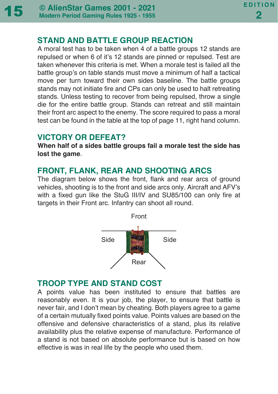## **STAND AND BATTLE GROUP REACTION**

A moral test has to be taken when 4 of a battle groups 12 stands are repulsed or when 6 of it's 12 stands are pinned or repulsed. Test are taken whenever this criteria is met. When a morale test is failed all the battle group's on table stands must move a minimum of half a tactical move per turn toward their own sides baseline. The battle groups stands may not initiate fire and CPs can only be used to halt retreating stands. Unless testing to recover from being repulsed, throw a single die for the entire battle group. Stands can retreat and still maintain their front arc aspect to the enemy. The score required to pass a moral test can be found in the table at the top of page 11, right hand column.

## **VICTORY OR DEFEAT?**

**When half of a sides battle groups fail a morale test the side has lost the game**.

## **FRONT, FLANK, REAR AND SHOOTING ARCS**

The diagram below shows the front, flank and rear arcs of ground vehicles, shooting is to the front and side arcs only. Aircraft and AFV's with a fixed gun like the StuG III/IV and SU85/100 can only fire at targets in their Front arc. Infantry can shoot all round.



## **TROOP TYPE AND STAND COST**

A points value has been instituted to ensure that battles are reasonably even. It is your job, the player, to ensure that battle is never fair, and I don't mean by cheating. Both players agree to a game of a certain mutually fixed points value. Points values are based on the offensive and defensive characteristics of a stand, plus its relative availability plus the relative expense of manufacture. Performance of a stand is not based on absolute performance but is based on how effective is was in real life by the people who used them.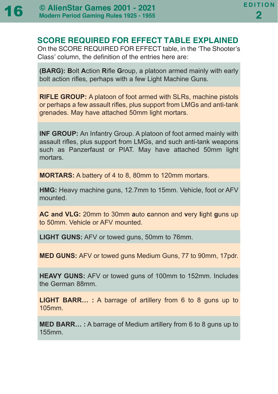

## **SCORE REQUIRED FOR EFFECT TABLE EXPLAINED**

On the SCORE REQUIRED FOR EFFECT table, in the 'The Shooter's Class' column, the definition of the entries here are:

**(BARG): B**olt **A**ction **R**ifle **G**roup, a platoon armed mainly with early bolt action rifles, perhaps with a few Light Machine Guns.

**RIFLE GROUP:** A platoon of foot armed with SLRs, machine pistols or perhaps a few assault rifles, plus support from LMGs and anti-tank grenades. May have attached 50mm light mortars.

**INF GROUP:** An Infantry Group. A platoon of foot armed mainly with assault rifles, plus support from LMGs, and such anti-tank weapons such as Panzerfaust or PIAT. May have attached 50mm light mortars.

**MORTARS:** A battery of 4 to 8, 80mm to 120mm mortars.

**HMG:** Heavy machine guns, 12.7mm to 15mm. Vehicle, foot or AFV mounted.

**AC and VLG:** 20mm to 30mm **a**uto **c**annon and **v**ery **l**ight **g**uns up to 50mm. Vehicle or AFV mounted.

**LIGHT GUNS:** AFV or towed guns, 50mm to 76mm.

**MED GUNS:** AFV or towed guns Medium Guns, 77 to 90mm, 17pdr.

**HEAVY GUNS:** AFV or towed guns of 100mm to 152mm. Includes the German 88mm.

**LIGHT BARR… :** A barrage of artillery from 6 to 8 guns up to 105mm.

**MED BARR… :** A barrage of Medium artillery from 6 to 8 guns up to 155mm.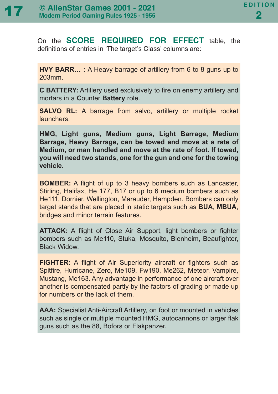On the **SCORE REQUIRED FOR EFFECT** table, the definitions of entries in 'The target's Class' columns are:

**HVY BARR… :** A Heavy barrage of artillery from 6 to 8 guns up to 203mm.

**C BATTERY:** Artillery used exclusively to fire on enemy artillery and mortars in a **C**ounter **Battery** role.

**SALVO RL:** A barrage from salvo, artillery or multiple rocket launchers.

**HMG, Light guns, Medium guns, Light Barrage, Medium Barrage, Heavy Barrage, can be towed and move at a rate of Medium, or man handled and move at the rate of foot. If towed, you will need two stands, one for the gun and one for the towing vehicle.**

**BOMBER:** A flight of up to 3 heavy bombers such as Lancaster, Stirling, Halifax, He 177, B17 or up to 6 medium bombers such as He111, Dornier, Wellington, Marauder, Hampden. Bombers can only target stands that are placed in static targets such as **BUA**, **MBUA**, bridges and minor terrain features.

**ATTACK:** A flight of Close Air Support, light bombers or fighter bombers such as Me110, Stuka, Mosquito, Blenheim, Beaufighter, Black Widow.

**FIGHTER:** A flight of Air Superiority aircraft or fighters such as Spitfire, Hurricane, Zero, Me109, Fw190, Me262, Meteor, Vampire, Mustang, Me163. Any advantage in performance of one aircraft over another is compensated partly by the factors of grading or made up for numbers or the lack of them.

**AAA:** Specialist Anti-Aircraft Artillery, on foot or mounted in vehicles such as single or multiple mounted HMG, autocannons or larger flak guns such as the 88, Bofors or Flakpanzer.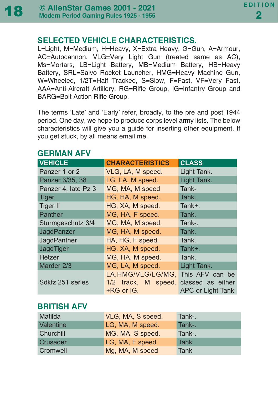## **SELECTED VEHICLE CHARACTERISTICS.**

L=Light, M=Medium, H=Heavy, X=Extra Heavy, G=Gun, A=Armour, AC=Autocannon, VLG=Very Light Gun (treated same as AC), Ms=Mortars, LB=Light Battery, MB=Medium Battery, HB=Heavy Battery, SRL=Salvo Rocket Launcher, HMG=Heavy Machine Gun, W=Wheeled, 1/2T=Half Tracked, S=Slow, F=Fast, VF=Very Fast, AAA=Anti-Aircraft Artillery, RG=Rifle Group, IG=Infantry Group and BARG=Bolt Action Rifle Group.

The terms 'Late' and 'Early' refer, broadly, to the pre and post 1944 period. One day, we hope to produce corps level army lists. The below characteristics will give you a guide for inserting other equipment. If you get stuck, by all means email me.

| <b>VEHICLE</b>      | <b>CHARACTERISTICS</b>                                  | <b>CLASS</b>                                              |
|---------------------|---------------------------------------------------------|-----------------------------------------------------------|
| Panzer 1 or 2       | VLG, LA, M speed.                                       | Light Tank.                                               |
| Panzer 3/35, 38     | LG, LA, M speed.                                        | Light Tank.                                               |
| Panzer 4, late Pz 3 | MG, MA, M speed                                         | Tank-                                                     |
| <b>Tiger</b>        | HG, HA, M speed.                                        | Tank.                                                     |
| <b>Tiger II</b>     | HG, XA, M speed.                                        | Tank+.                                                    |
| Panther             | MG, HA, F speed.                                        | Tank.                                                     |
| Sturmgeschutz 3/4   | MG, MA, M speed.                                        | Tank-.                                                    |
| JagdPanzer          | MG, HA, M speed.                                        | Tank.                                                     |
| JagdPanther         | HA, HG, F speed.                                        | Tank.                                                     |
| JagdTiger           | HG, XA, M speed.                                        | Tank+.                                                    |
| <b>Hetzer</b>       | MG, HA, M speed.                                        | Tank.                                                     |
| Marder 2/3          | MG, LA, M speed.                                        | Light Tank.                                               |
| Sdkfz 251 series    | LA, HMG/VLG/LG/MG,<br>1/2 track, M speed.<br>+RG or IG. | This AFV can be<br>classed as either<br>APC or Light Tank |

## **GERMAN AFV**

## **BRITISH AFV**

| Matilda   | VLG, MA, S speed. | Tank-.      |
|-----------|-------------------|-------------|
| Valentine | LG, MA, M speed.  | Tank-.      |
| Churchill | MG, MA, S speed.  | Tank-.      |
| Crusader  | LG, MA, F speed   | Tank        |
| Cromwell  | Mg, MA, M speed   | <b>Tank</b> |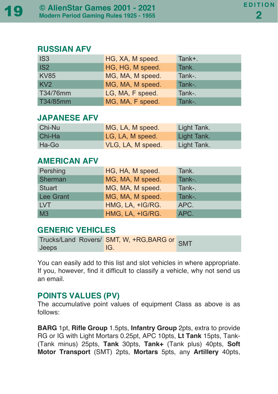#### **RUSSIAN AFV**

| IS <sub>3</sub> | HG, XA, M speed. | Tank+. |
|-----------------|------------------|--------|
| IS <sub>2</sub> | HG, HG, M speed. | Tank.  |
| <b>KV85</b>     | MG, MA, M speed. | Tank-. |
| KV2             | MG, MA, M speed. | Tank-. |
| T34/76mm        | LG, MA, F speed. | Tank-. |
| T34/85mm        | MG, MA, F speed. | Tank-. |

## **JAPANESE AFV**

| Chi-Nu | MG, LA, M speed.  | Light Tank. |
|--------|-------------------|-------------|
| Chi-Ha | LG, LA, M speed.  | Light Tank. |
| Ha-Go  | VLG, LA, M speed. | Light Tank. |

## **AMERICAN AFV**

| Pershing         | HG, HA, M speed. | Tank.  |
|------------------|------------------|--------|
| Sherman          | MG, MA, M speed. | Tank-. |
| <b>Stuart</b>    | MG, MA, M speed. | Tank-. |
| <b>Lee Grant</b> | MG, MA, M speed. | Tank-. |
| <b>LVT</b>       | HMG, LA, +IG/RG. | APC.   |
| M <sub>3</sub>   | HMG, LA, +IG/RG. | APC.   |

## **GENERIC VEHICLES**

|       | rucks/Land Rovers/ SMT, W, +RG, BARG or SMT |  |
|-------|---------------------------------------------|--|
| Jeeps | IG.                                         |  |

You can easily add to this list and slot vehicles in where appropriate. If you, however, find it difficult to classify a vehicle, why not send us an email.

## **POINTS VALUES (PV)**

The accumulative point values of equipment Class as above is as follows:

**BARG** 1pt, **Rifle Group** 1.5pts, **Infantry Group** 2pts, extra to provide RG or IG with Light Mortars 0.25pt, APC 10pts, **Lt Tank** 15pts, Tank- (Tank minus) 25pts, **Tank** 30pts, **Tank+** (Tank plus) 40pts, **Soft Motor Transport** (SMT) 2pts, **Mortars** 5pts, any **Artillery** 40pts,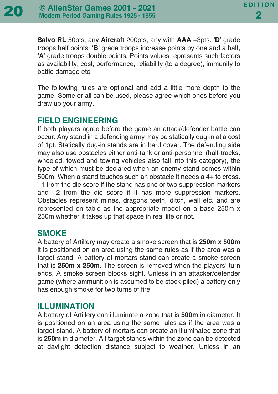**Salvo RL** 50pts, any **Aircraft** 200pts, any with **AAA** +3pts. '**D**' grade troops half points, '**B**' grade troops increase points by one and a half, '**A**' grade troops double points. Points values represents such factors as availability, cost, performance, reliability (to a degree), immunity to battle damage etc.

The following rules are optional and add a little more depth to the game. Some or all can be used, please agree which ones before you draw up your army.

## **FIELD ENGINEERING**

If both players agree before the game an attack/defender battle can occur. Any stand in a defending army may be statically dug-in at a cost of 1pt. Statically dug-in stands are in hard cover. The defending side may also use obstacles either anti-tank or anti-personnel (half-tracks, wheeled, towed and towing vehicles also fall into this category), the type of which must be declared when an enemy stand comes within 500m. When a stand touches such an obstacle it needs a 4+ to cross. –1 from the die score if the stand has one or two suppression markers and –2 from the die score if it has more suppression markers. Obstacles represent mines, dragons teeth, ditch, wall etc. and are represented on table as the appropriate model on a base 250m x 250m whether it takes up that space in real life or not.

#### **SMOKE**

A battery of Artillery may create a smoke screen that is **250m x 500m** it is positioned on an area using the same rules as if the area was a target stand. A battery of mortars stand can create a smoke screen that is **250m x 250m**. The screen is removed when the players' turn ends. A smoke screen blocks sight. Unless in an attacker/defender game (where ammunition is assumed to be stock-piled) a battery only has enough smoke for two turns of fire.

#### **ILLUMINATION**

A battery of Artillery can illuminate a zone that is **500m** in diameter. It is positioned on an area using the same rules as if the area was a target stand. A battery of mortars can create an illuminated zone that is **250m** in diameter. All target stands within the zone can be detected at daylight detection distance subject to weather. Unless in an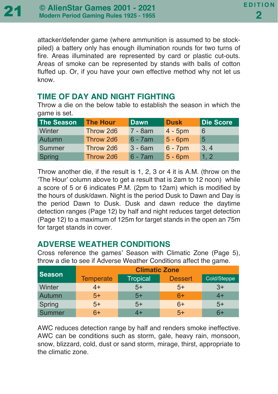attacker/defender game (where ammunition is assumed to be stockpiled) a battery only has enough illumination rounds for two turns of fire. Areas illuminated are represented by card or plastic cut-outs. Areas of smoke can be represented by stands with balls of cotton fluffed up. Or, if you have your own effective method why not let us know.

## **TIME OF DAY AND NIGHT FIGHTING**

Throw a die on the below table to establish the season in which the game is set.

| The Season | <b>The Hour</b> | <b>Dawn</b> | <b>Dusk</b> | <b>Die Score</b> |
|------------|-----------------|-------------|-------------|------------------|
| Winter     | Throw 2d6       | 7 - 8am     | $4 - 5$ pm  | 6                |
| Autumn     | Throw 2d6       | $6 - 7$ am  | $5 - 6$ pm  | 5                |
| Summer     | Throw 2d6       | $3 - 6am$   | $6 - 7$ pm  | 3, 4             |
| Spring     | Throw 2d6       | $6 - 7$ am  | $5 - 6$ pm  | 1, 2             |

Throw another die, if the result is 1, 2, 3 or 4 it is A.M. (throw on the 'The Hour' column above to get a result that is 2am to 12 noon) while a score of 5 or 6 indicates P.M. (2pm to 12am) which is modified by the hours of dusk/dawn. Night is the period Dusk to Dawn and Day is the period Dawn to Dusk. Dusk and dawn reduce the daytime detection ranges (Page 12) by half and night reduces target detection (Page 12) to a maximum of 125m for target stands in the open an 75m for target stands in cover.

## **ADVERSE WEATHER CONDITIONS**

Cross reference the games' Season with Climatic Zone (Page 5), throw a die to see if Adverse Weather Conditions affect the game.

| <b>Season</b> | <b>Climatic Zone</b> |          |                |             |
|---------------|----------------------|----------|----------------|-------------|
|               | <b>Temperate</b>     | Tropical | <b>Dessert</b> | Cold/Steppe |
| Winter        | 4+                   | $5+$     | $5+$           | $3+$        |
| Autumn        | $5+$                 | $5+$     | $6+$           | 4+          |
| Spring        | $5+$                 | $5+$     | $6+$           | $5+$        |
| Summer        | 6+                   |          | $5+$           | 6+          |

AWC reduces detection range by half and renders smoke ineffective. AWC can be conditions such as storm, gale, heavy rain, monsoon, snow, blizzard, cold, dust or sand storm, mirage, thirst, appropriate to the climatic zone.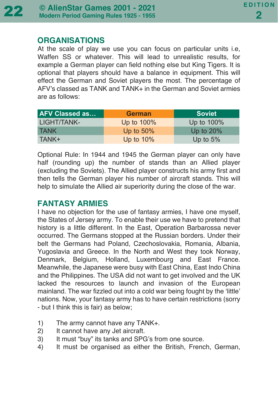#### **ORGANISATIONS**

At the scale of play we use you can focus on particular units i.e, Waffen SS or whatever. This will lead to unrealistic results, for example a German player can field nothing else but King Tigers. It is optional that players should have a balance in equipment. This will effect the German and Soviet players the most. The percentage of AFV's classed as TANK and TANK+ in the German and Soviet armies are as follows:

| <b>AFV Classed as</b> | <b>German</b> | <b>Soviet</b> |
|-----------------------|---------------|---------------|
| LIGHT/TANK-           | Up to 100%    | Up to 100%    |
| <b>TANK</b>           | Up to $50\%$  | Up to $20\%$  |
| TANK+                 | Up to $10\%$  | Up to $5%$    |

Optional Rule: In 1944 and 1945 the German player can only have half (rounding up) the number of stands than an Allied player (excluding the Soviets). The Allied player constructs his army first and then tells the German player his number of aircraft stands. This will help to simulate the Allied air superiority during the close of the war.

## **FANTASY ARMIES**

I have no objection for the use of fantasy armies, I have one myself, the States of Jersey army. To enable their use we have to pretend that history is a little different. In the East, Operation Barbarossa never occurred. The Germans stopped at the Russian borders. Under their belt the Germans had Poland, Czechoslovakia, Romania, Albania, Yugoslavia and Greece. In the North and West they took Norway, Denmark, Belgium, Holland, Luxembourg and East France. Meanwhile, the Japanese were busy with East China, East Indo China and the Philippines. The USA did not want to get involved and the UK lacked the resources to launch and invasion of the European mainland. The war fizzled out into a cold war being fought by the 'little' nations. Now, your fantasy army has to have certain restrictions (sorry - but I think this is fair) as below;

- 1) The army cannot have any TANK+.
- 2) It cannot have any Jet aircraft.
- 3) It must "buy" its tanks and SPG's from one source.
- 4) It must be organised as either the British, French, German,